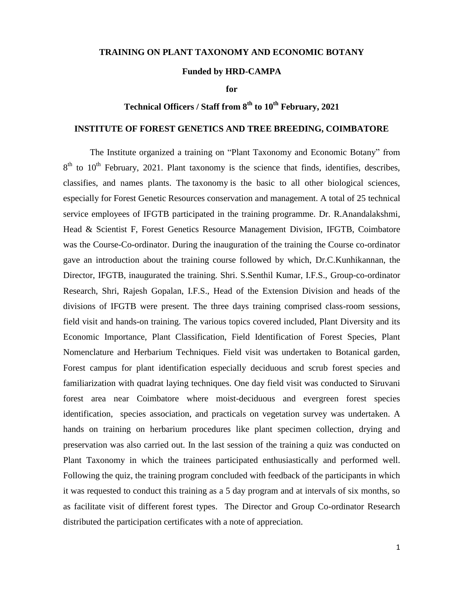## **TRAINING ON PLANT TAXONOMY AND ECONOMIC BOTANY**

## **Funded by HRD-CAMPA**

**for**

## **Technical Officers / Staff from 8 th to 10th February, 2021**

## **INSTITUTE OF FOREST GENETICS AND TREE BREEDING, COIMBATORE**

The Institute organized a training on "Plant Taxonomy and Economic Botany" from  $8<sup>th</sup>$  to 10<sup>th</sup> February, 2021. Plant taxonomy is the science that finds, identifies, describes, classifies, and names plants. The taxonomy is the basic to all other biological sciences, especially for Forest Genetic Resources conservation and management. A total of 25 technical service employees of IFGTB participated in the training programme. Dr. R.Anandalakshmi, Head & Scientist F, Forest Genetics Resource Management Division, IFGTB, Coimbatore was the Course-Co-ordinator. During the inauguration of the training the Course co-ordinator gave an introduction about the training course followed by which, Dr.C.Kunhikannan, the Director, IFGTB, inaugurated the training. Shri. S.Senthil Kumar, I.F.S., Group-co-ordinator Research, Shri, Rajesh Gopalan, I.F.S., Head of the Extension Division and heads of the divisions of IFGTB were present. The three days training comprised class-room sessions, field visit and hands-on training. The various topics covered included, Plant Diversity and its Economic Importance, Plant Classification, Field Identification of Forest Species, Plant Nomenclature and Herbarium Techniques. Field visit was undertaken to Botanical garden, Forest campus for plant identification especially deciduous and scrub forest species and familiarization with quadrat laying techniques. One day field visit was conducted to Siruvani forest area near Coimbatore where moist-deciduous and evergreen forest species identification, species association, and practicals on vegetation survey was undertaken. A hands on training on herbarium procedures like plant specimen collection, drying and preservation was also carried out. In the last session of the training a quiz was conducted on Plant Taxonomy in which the trainees participated enthusiastically and performed well. Following the quiz, the training program concluded with feedback of the participants in which it was requested to conduct this training as a 5 day program and at intervals of six months, so as facilitate visit of different forest types. The Director and Group Co-ordinator Research distributed the participation certificates with a note of appreciation.